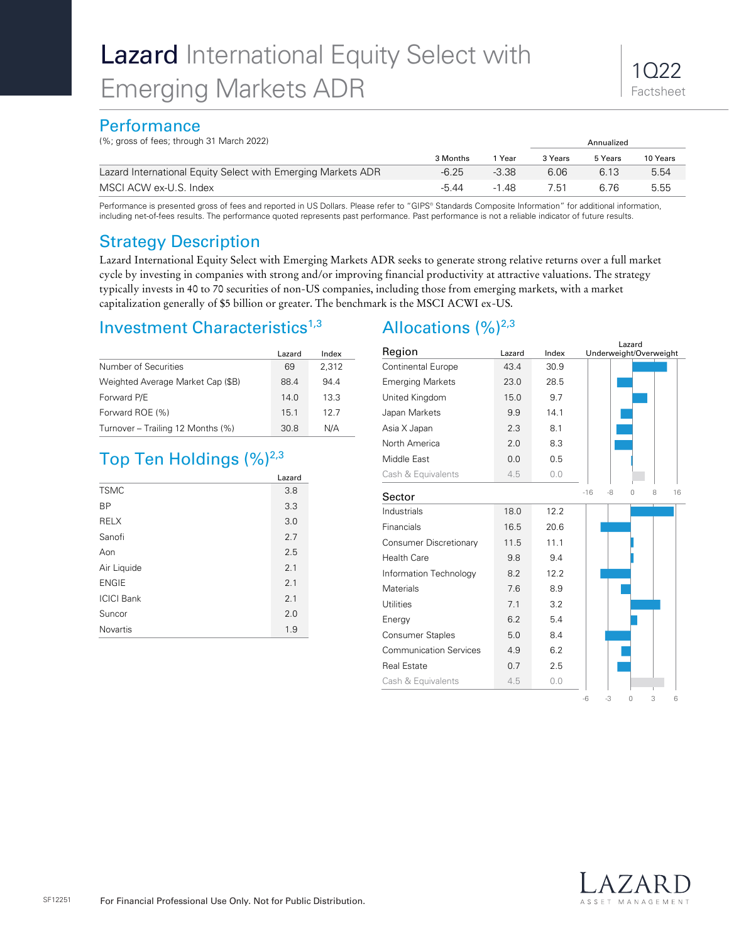# **Performance**

(%; gross of fees; through 31 March 2022) Annualized

| $(10, 910000)$ Tool, through of Trialon EuEL                 |          |         |         | <b>AUTURULE</b> U |          |
|--------------------------------------------------------------|----------|---------|---------|-------------------|----------|
|                                                              | 3 Months | Year    | 3 Years | 5 Years           | 10 Years |
| Lazard International Equity Select with Emerging Markets ADR | $-6.25$  | $-3.38$ | 6.06    | 6.13              | 5.54     |
| MSCI ACW ex-U.S. Index                                       | -544     | -1 48   | 7.51    | 6.76              | 5.55     |

Performance is presented gross of fees and reported in US Dollars. Please refer to "GIPS® Standards Composite Information" for additional information, including net-of-fees results. The performance quoted represents past performance. Past performance is not a reliable indicator of future results.

# Strategy Description

Lazard International Equity Select with Emerging Markets ADR seeks to generate strong relative returns over a full market cycle by investing in companies with strong and/or improving financial productivity at attractive valuations. The strategy typically invests in 40 to 70 securities of non-US companies, including those from emerging markets, with a market capitalization generally of \$5 billion or greater. The benchmark is the MSCI ACWI ex-US.

# Investment Characteristics<sup>1,3</sup>

|                                   | Lazard | Index |
|-----------------------------------|--------|-------|
| Number of Securities              | 69     | 2,312 |
| Weighted Average Market Cap (\$B) | 88.4   | 944   |
| Forward P/E                       | 14.0   | 13.3  |
| Forward ROE (%)                   | 15.1   | 12.7  |
| Turnover - Trailing 12 Months (%) | 30.8   | N/A   |

# Top Ten Holdings (%)<sup>2,3</sup>

|                   | Lazard |  |
|-------------------|--------|--|
| <b>TSMC</b>       | 3.8    |  |
| <b>BP</b>         | 3.3    |  |
| <b>RELX</b>       | 3.0    |  |
| Sanofi            | 2.7    |  |
| Aon               | 2.5    |  |
| Air Liquide       | 2.1    |  |
| <b>ENGIE</b>      | 2.1    |  |
| <b>ICICI Bank</b> | 2.1    |  |
| Suncor            | 2.0    |  |
| <b>Novartis</b>   | 1.9    |  |

# Allocations  $(\frac{9}{6})^{2,3}$

|                               |        |       | Lazard                             |
|-------------------------------|--------|-------|------------------------------------|
| Region                        | Lazard | Index | Underweight/Overweight             |
| <b>Continental Europe</b>     | 43.4   | 30.9  |                                    |
| <b>Emerging Markets</b>       | 23.0   | 28.5  |                                    |
| United Kingdom                | 15.0   | 9.7   |                                    |
| Japan Markets                 | 9.9    | 14.1  |                                    |
| Asia X Japan                  | 2.3    | 8.1   |                                    |
| North America                 | 2.0    | 8.3   |                                    |
| Middle East                   | 0.0    | 0.5   |                                    |
| Cash & Equivalents            | 4.5    | 0.0   |                                    |
| Sector                        |        |       | $-16$<br>-8<br>8<br>16<br>Ω        |
| Industrials                   | 18.0   | 12.2  |                                    |
| Financials                    | 16.5   | 20.6  |                                    |
| Consumer Discretionary        | 11.5   | 11.1  |                                    |
| <b>Health Care</b>            | 9.8    | 9.4   |                                    |
| Information Technology        | 8.2    | 12.2  |                                    |
| Materials                     | 7.6    | 8.9   |                                    |
| <b>Utilities</b>              | 7.1    | 3.2   |                                    |
| Energy                        | 6.2    | 5.4   |                                    |
| <b>Consumer Staples</b>       | 5.0    | 8.4   |                                    |
| <b>Communication Services</b> | 4.9    | 6.2   |                                    |
| <b>Real Estate</b>            | 0.7    | 2.5   |                                    |
| Cash & Equivalents            | 4.5    | 0.0   |                                    |
|                               |        |       | $-3$<br>3<br>$-6$<br>$\Omega$<br>6 |